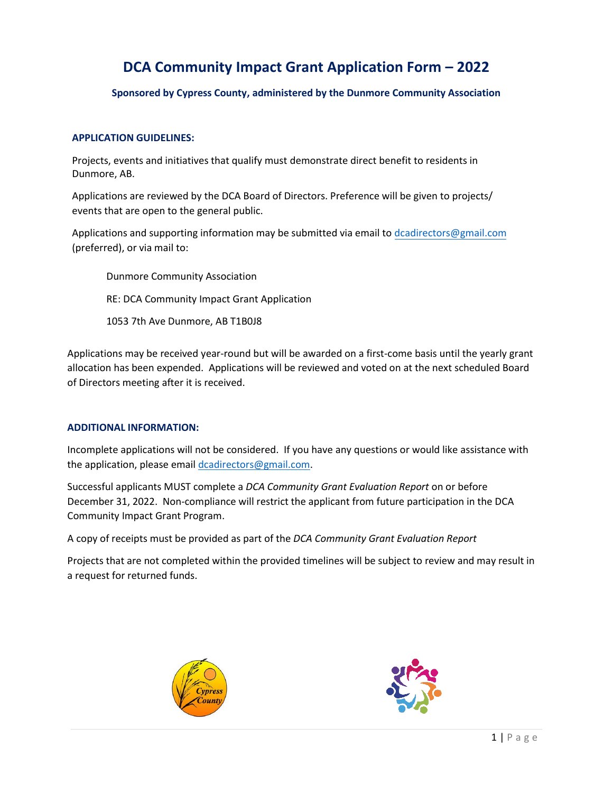## **DCA Community Impact Grant Application Form – 2022**

**Sponsored by Cypress County, administered by the Dunmore Community Association**

### **APPLICATION GUIDELINES:**

Projects, events and initiatives that qualify must demonstrate direct benefit to residents in Dunmore, AB.

Applications are reviewed by the DCA Board of Directors. Preference will be given to projects/ events that are open to the general public.

Applications and supporting information may be submitted via email to dcadirectors@gmail.com (preferred), or via mail to:

Dunmore Community Association RE: DCA Community Impact Grant Application 1053 7th Ave Dunmore, AB T1B0J8

Applications may be received year-round but will be awarded on a first-come basis until the yearly grant allocation has been expended. Applications will be reviewed and voted on at the next scheduled Board of Directors meeting after it is received.

### **ADDITIONAL INFORMATION:**

Incomplete applications will not be considered. If you have any questions or would like assistance with the application, please email dcadirectors@gmail.com.

Successful applicants MUST complete a *DCA Community Grant Evaluation Report* on or before December 31, 2022. Non-compliance will restrict the applicant from future participation in the DCA Community Impact Grant Program.

A copy of receipts must be provided as part of the *DCA Community Grant Evaluation Report*

Projects that are not completed within the provided timelines will be subject to review and may result in a request for returned funds.



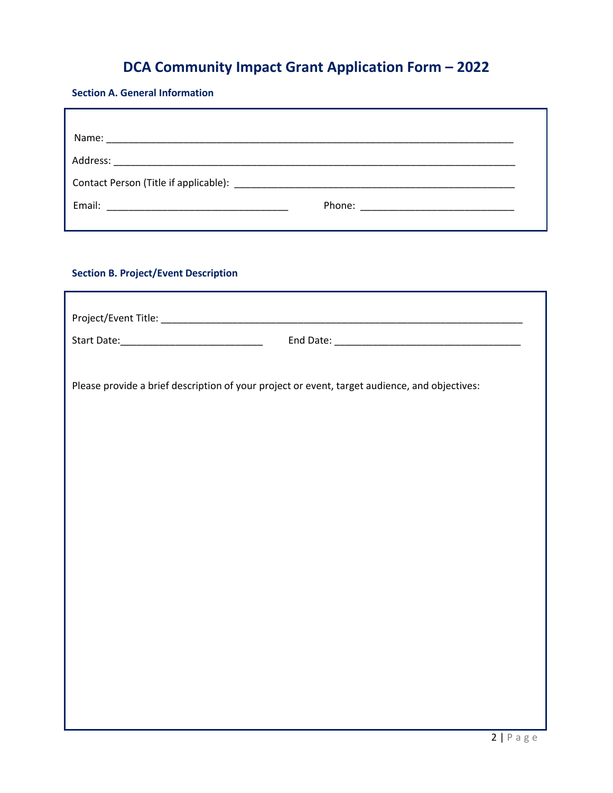# **DCA Community Impact Grant Application Form – 2022**

### **Section A. General Information**

### **Section B. Project/Event Description**

| Please provide a brief description of your project or event, target audience, and objectives: |  |  |
|-----------------------------------------------------------------------------------------------|--|--|
|                                                                                               |  |  |
|                                                                                               |  |  |
|                                                                                               |  |  |
|                                                                                               |  |  |
|                                                                                               |  |  |
|                                                                                               |  |  |
|                                                                                               |  |  |
|                                                                                               |  |  |
|                                                                                               |  |  |
|                                                                                               |  |  |
|                                                                                               |  |  |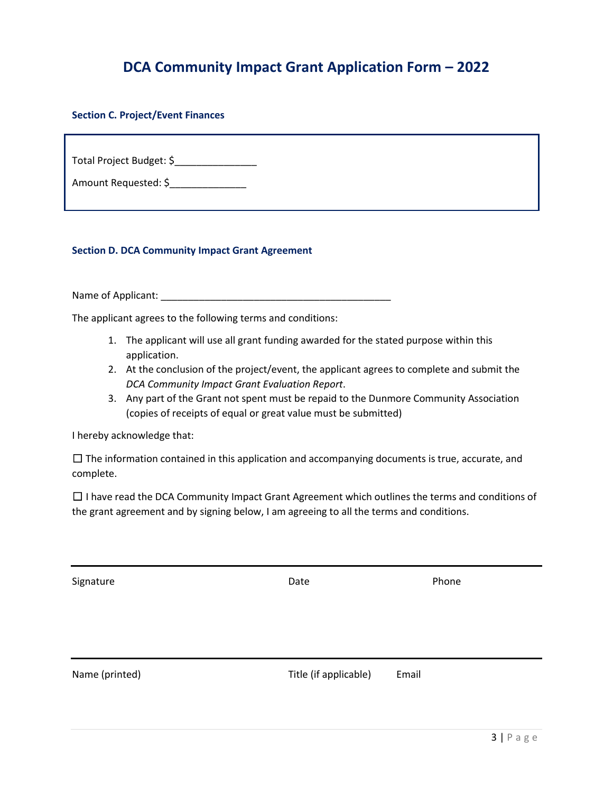### **DCA Community Impact Grant Application Form – 2022**

**Section C. Project/Event Finances**

Total Project Budget: \$

Amount Requested: \$\_\_\_\_\_\_\_\_\_\_\_\_\_\_\_\_

**Section D. DCA Community Impact Grant Agreement**

Name of Applicant:  $\blacksquare$ 

The applicant agrees to the following terms and conditions:

- 1. The applicant will use all grant funding awarded for the stated purpose within this application.
- 2. At the conclusion of the project/event, the applicant agrees to complete and submit the *DCA Community Impact Grant Evaluation Report*.
- 3. Any part of the Grant not spent must be repaid to the Dunmore Community Association (copies of receipts of equal or great value must be submitted)

I hereby acknowledge that:

 $\Box$  The information contained in this application and accompanying documents is true, accurate, and complete.

 $\Box$  I have read the DCA Community Impact Grant Agreement which outlines the terms and conditions of the grant agreement and by signing below, I am agreeing to all the terms and conditions.

Signature **Date Date Contract Phone Phone** 

Name (printed) and the Community Community Community Community Community Community Community Community Community